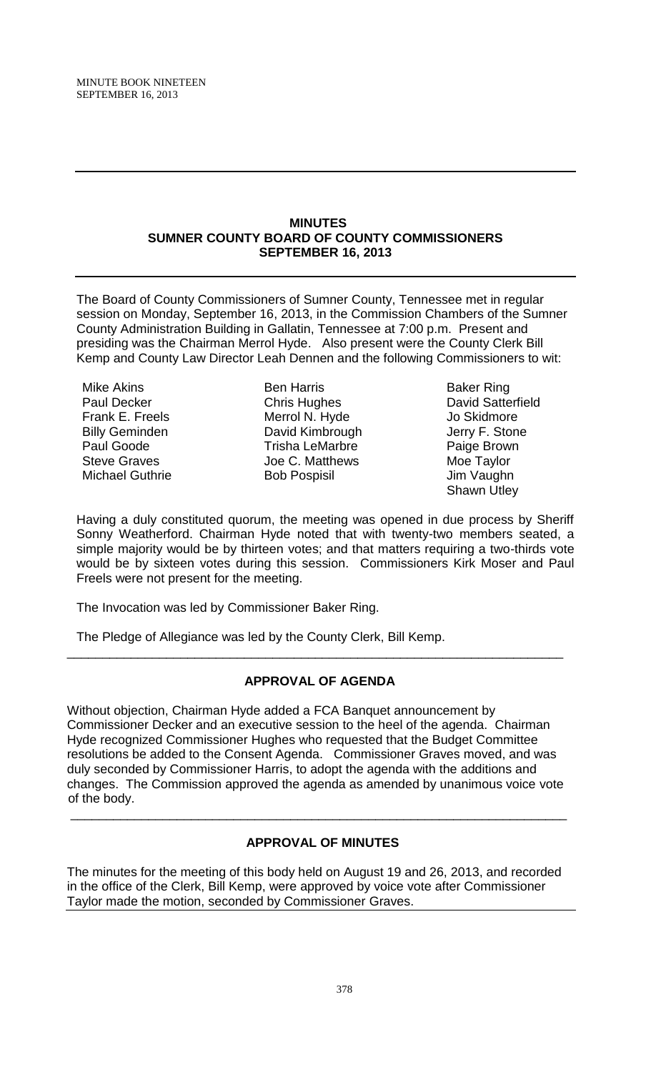#### **MINUTES SUMNER COUNTY BOARD OF COUNTY COMMISSIONERS SEPTEMBER 16, 2013**

The Board of County Commissioners of Sumner County, Tennessee met in regular session on Monday, September 16, 2013, in the Commission Chambers of the Sumner County Administration Building in Gallatin, Tennessee at 7:00 p.m. Present and presiding was the Chairman Merrol Hyde. Also present were the County Clerk Bill Kemp and County Law Director Leah Dennen and the following Commissioners to wit:

Mike Akins Paul Decker Frank E. Freels Billy Geminden Paul Goode Steve Graves Michael Guthrie

Ben Harris Chris Hughes Merrol N. Hyde David Kimbrough Trisha LeMarbre Joe C. Matthews Bob Pospisil

Baker Ring David Satterfield Jo Skidmore Jerry F. Stone Paige Brown Moe Taylor Jim Vaughn Shawn Utley

Having a duly constituted quorum, the meeting was opened in due process by Sheriff Sonny Weatherford. Chairman Hyde noted that with twenty-two members seated, a simple majority would be by thirteen votes; and that matters requiring a two-thirds vote would be by sixteen votes during this session. Commissioners Kirk Moser and Paul Freels were not present for the meeting.

The Invocation was led by Commissioner Baker Ring.

The Pledge of Allegiance was led by the County Clerk, Bill Kemp.

### **APPROVAL OF AGENDA**

\_\_\_\_\_\_\_\_\_\_\_\_\_\_\_\_\_\_\_\_\_\_\_\_\_\_\_\_\_\_\_\_\_\_\_\_\_\_\_\_\_\_\_\_\_\_\_\_\_\_\_\_\_\_\_\_\_\_\_\_\_\_\_\_\_\_\_\_\_\_

Without objection, Chairman Hyde added a FCA Banquet announcement by Commissioner Decker and an executive session to the heel of the agenda. Chairman Hyde recognized Commissioner Hughes who requested that the Budget Committee resolutions be added to the Consent Agenda. Commissioner Graves moved, and was duly seconded by Commissioner Harris, to adopt the agenda with the additions and changes. The Commission approved the agenda as amended by unanimous voice vote of the body.

# **APPROVAL OF MINUTES**

\_\_\_\_\_\_\_\_\_\_\_\_\_\_\_\_\_\_\_\_\_\_\_\_\_\_\_\_\_\_\_\_\_\_\_\_\_\_\_\_\_\_\_\_\_\_\_\_\_\_\_\_\_\_\_\_\_\_\_\_\_\_\_\_\_\_\_\_\_\_

The minutes for the meeting of this body held on August 19 and 26, 2013, and recorded in the office of the Clerk, Bill Kemp, were approved by voice vote after Commissioner Taylor made the motion, seconded by Commissioner Graves.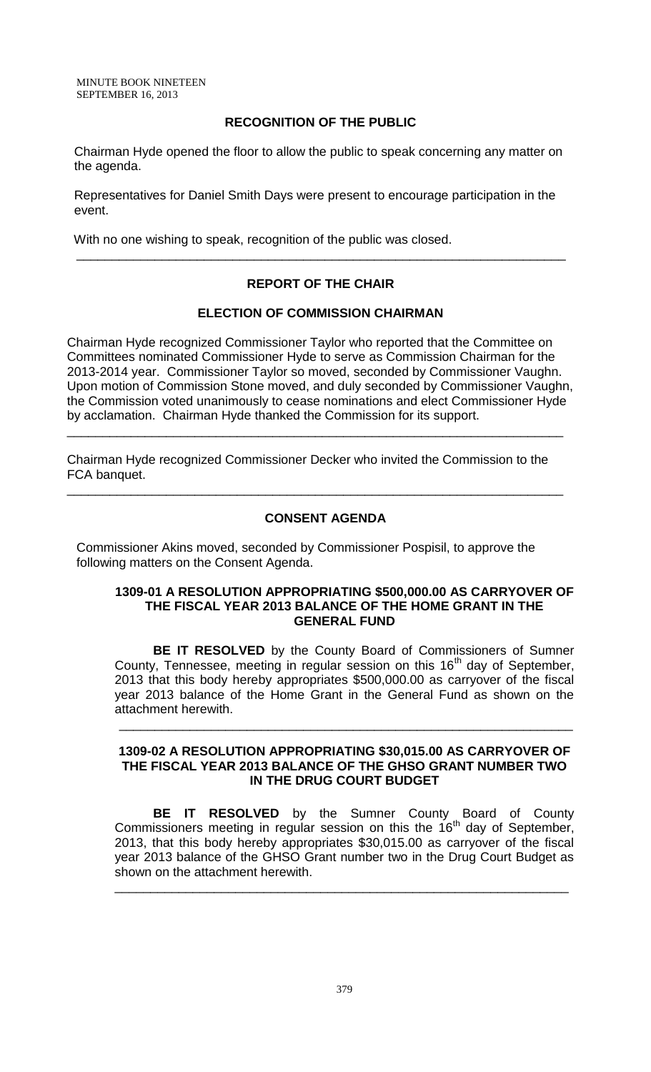MINUTE BOOK NINETEEN SEPTEMBER 16, 2013

### **RECOGNITION OF THE PUBLIC**

 Chairman Hyde opened the floor to allow the public to speak concerning any matter on the agenda.

 Representatives for Daniel Smith Days were present to encourage participation in the event.

With no one wishing to speak, recognition of the public was closed.

### **REPORT OF THE CHAIR**

\_\_\_\_\_\_\_\_\_\_\_\_\_\_\_\_\_\_\_\_\_\_\_\_\_\_\_\_\_\_\_\_\_\_\_\_\_\_\_\_\_\_\_\_\_\_\_\_\_\_\_\_\_\_\_\_\_\_\_\_\_\_\_\_\_\_\_\_\_

#### **ELECTION OF COMMISSION CHAIRMAN**

Chairman Hyde recognized Commissioner Taylor who reported that the Committee on Committees nominated Commissioner Hyde to serve as Commission Chairman for the 2013-2014 year. Commissioner Taylor so moved, seconded by Commissioner Vaughn. Upon motion of Commission Stone moved, and duly seconded by Commissioner Vaughn, the Commission voted unanimously to cease nominations and elect Commissioner Hyde by acclamation. Chairman Hyde thanked the Commission for its support.

Chairman Hyde recognized Commissioner Decker who invited the Commission to the FCA banquet.

\_\_\_\_\_\_\_\_\_\_\_\_\_\_\_\_\_\_\_\_\_\_\_\_\_\_\_\_\_\_\_\_\_\_\_\_\_\_\_\_\_\_\_\_\_\_\_\_\_\_\_\_\_\_\_\_\_\_\_\_\_\_\_\_\_\_\_\_\_\_

\_\_\_\_\_\_\_\_\_\_\_\_\_\_\_\_\_\_\_\_\_\_\_\_\_\_\_\_\_\_\_\_\_\_\_\_\_\_\_\_\_\_\_\_\_\_\_\_\_\_\_\_\_\_\_\_\_\_\_\_\_\_\_\_\_\_\_\_\_\_

#### **CONSENT AGENDA**

Commissioner Akins moved, seconded by Commissioner Pospisil, to approve the following matters on the Consent Agenda.

#### **1309-01 A RESOLUTION APPROPRIATING \$500,000.00 AS CARRYOVER OF THE FISCAL YEAR 2013 BALANCE OF THE HOME GRANT IN THE GENERAL FUND**

**BE IT RESOLVED** by the County Board of Commissioners of Sumner County, Tennessee, meeting in regular session on this 16<sup>th</sup> day of September, 2013 that this body hereby appropriates \$500,000.00 as carryover of the fiscal year 2013 balance of the Home Grant in the General Fund as shown on the attachment herewith.

#### **1309-02 A RESOLUTION APPROPRIATING \$30,015.00 AS CARRYOVER OF THE FISCAL YEAR 2013 BALANCE OF THE GHSO GRANT NUMBER TWO IN THE DRUG COURT BUDGET**

\_\_\_\_\_\_\_\_\_\_\_\_\_\_\_\_\_\_\_\_\_\_\_\_\_\_\_\_\_\_\_\_\_\_\_\_\_\_\_\_\_\_\_\_\_\_\_\_\_\_\_\_\_\_\_\_\_\_\_\_\_\_\_\_

**BE IT RESOLVED** by the Sumner County Board of County Commissioners meeting in regular session on this the 16<sup>th</sup> day of September, 2013, that this body hereby appropriates \$30,015.00 as carryover of the fiscal year 2013 balance of the GHSO Grant number two in the Drug Court Budget as shown on the attachment herewith.

\_\_\_\_\_\_\_\_\_\_\_\_\_\_\_\_\_\_\_\_\_\_\_\_\_\_\_\_\_\_\_\_\_\_\_\_\_\_\_\_\_\_\_\_\_\_\_\_\_\_\_\_\_\_\_\_\_\_\_\_\_\_\_\_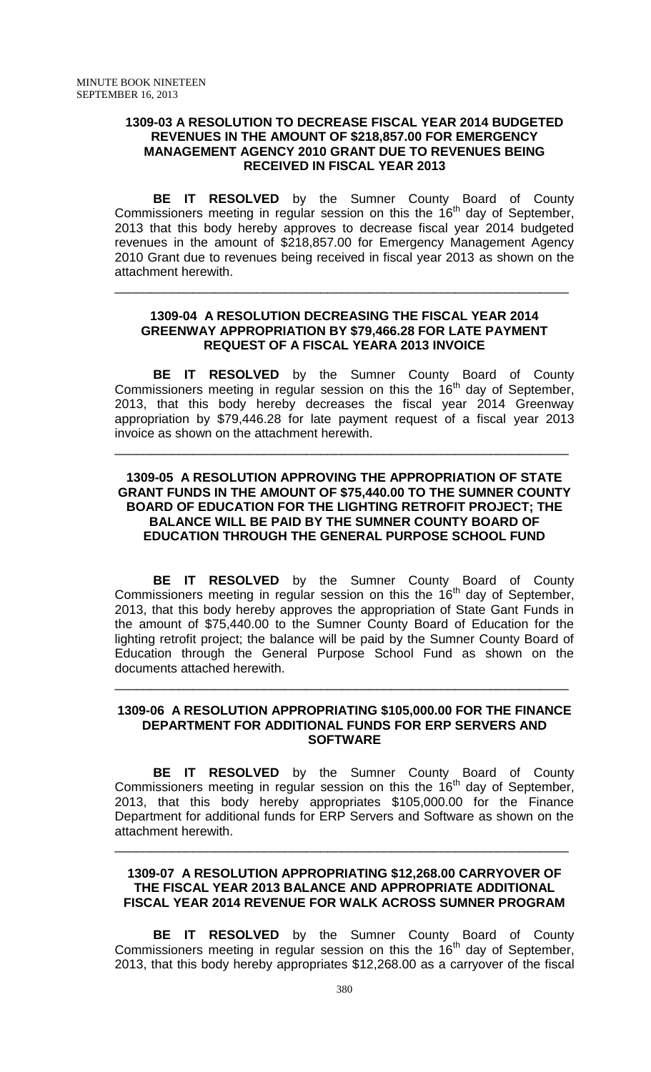#### **1309-03 A RESOLUTION TO DECREASE FISCAL YEAR 2014 BUDGETED REVENUES IN THE AMOUNT OF \$218,857.00 FOR EMERGENCY MANAGEMENT AGENCY 2010 GRANT DUE TO REVENUES BEING RECEIVED IN FISCAL YEAR 2013**

**BE IT RESOLVED** by the Sumner County Board of County Commissioners meeting in regular session on this the  $16<sup>th</sup>$  day of September, 2013 that this body hereby approves to decrease fiscal year 2014 budgeted revenues in the amount of \$218,857.00 for Emergency Management Agency 2010 Grant due to revenues being received in fiscal year 2013 as shown on the attachment herewith.

#### **1309-04 A RESOLUTION DECREASING THE FISCAL YEAR 2014 GREENWAY APPROPRIATION BY \$79,466.28 FOR LATE PAYMENT REQUEST OF A FISCAL YEARA 2013 INVOICE**

\_\_\_\_\_\_\_\_\_\_\_\_\_\_\_\_\_\_\_\_\_\_\_\_\_\_\_\_\_\_\_\_\_\_\_\_\_\_\_\_\_\_\_\_\_\_\_\_\_\_\_\_\_\_\_\_\_\_\_\_\_\_\_\_

**BE IT RESOLVED** by the Sumner County Board of County Commissioners meeting in regular session on this the  $16<sup>th</sup>$  day of September, 2013, that this body hereby decreases the fiscal year 2014 Greenway appropriation by \$79,446.28 for late payment request of a fiscal year 2013 invoice as shown on the attachment herewith.

\_\_\_\_\_\_\_\_\_\_\_\_\_\_\_\_\_\_\_\_\_\_\_\_\_\_\_\_\_\_\_\_\_\_\_\_\_\_\_\_\_\_\_\_\_\_\_\_\_\_\_\_\_\_\_\_\_\_\_\_\_\_\_\_

### **1309-05 A RESOLUTION APPROVING THE APPROPRIATION OF STATE GRANT FUNDS IN THE AMOUNT OF \$75,440.00 TO THE SUMNER COUNTY BOARD OF EDUCATION FOR THE LIGHTING RETROFIT PROJECT; THE BALANCE WILL BE PAID BY THE SUMNER COUNTY BOARD OF EDUCATION THROUGH THE GENERAL PURPOSE SCHOOL FUND**

**BE IT RESOLVED** by the Sumner County Board of County Commissioners meeting in regular session on this the  $16<sup>th</sup>$  day of September, 2013, that this body hereby approves the appropriation of State Gant Funds in the amount of \$75,440.00 to the Sumner County Board of Education for the lighting retrofit project; the balance will be paid by the Sumner County Board of Education through the General Purpose School Fund as shown on the documents attached herewith.

#### **1309-06 A RESOLUTION APPROPRIATING \$105,000.00 FOR THE FINANCE DEPARTMENT FOR ADDITIONAL FUNDS FOR ERP SERVERS AND SOFTWARE**

\_\_\_\_\_\_\_\_\_\_\_\_\_\_\_\_\_\_\_\_\_\_\_\_\_\_\_\_\_\_\_\_\_\_\_\_\_\_\_\_\_\_\_\_\_\_\_\_\_\_\_\_\_\_\_\_\_\_\_\_\_\_\_\_

**BE IT RESOLVED** by the Sumner County Board of County Commissioners meeting in regular session on this the  $16<sup>th</sup>$  day of September, 2013, that this body hereby appropriates \$105,000.00 for the Finance Department for additional funds for ERP Servers and Software as shown on the attachment herewith.

### **1309-07 A RESOLUTION APPROPRIATING \$12,268.00 CARRYOVER OF THE FISCAL YEAR 2013 BALANCE AND APPROPRIATE ADDITIONAL FISCAL YEAR 2014 REVENUE FOR WALK ACROSS SUMNER PROGRAM**

\_\_\_\_\_\_\_\_\_\_\_\_\_\_\_\_\_\_\_\_\_\_\_\_\_\_\_\_\_\_\_\_\_\_\_\_\_\_\_\_\_\_\_\_\_\_\_\_\_\_\_\_\_\_\_\_\_\_\_\_\_\_\_\_

**BE IT RESOLVED** by the Sumner County Board of County Commissioners meeting in regular session on this the  $16<sup>th</sup>$  day of September, 2013, that this body hereby appropriates \$12,268.00 as a carryover of the fiscal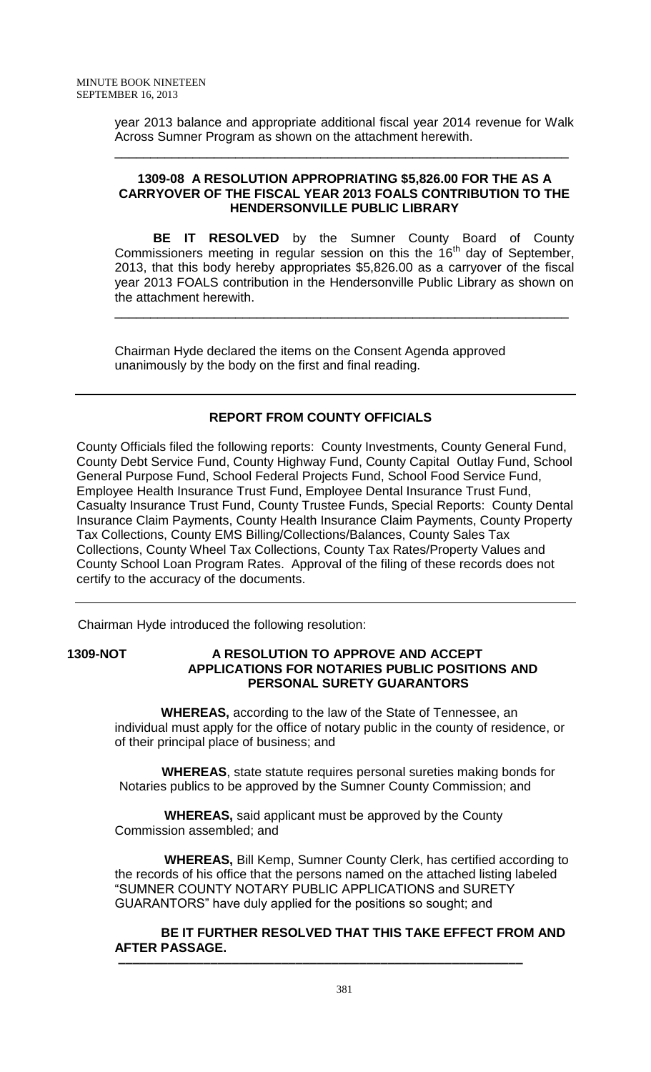year 2013 balance and appropriate additional fiscal year 2014 revenue for Walk Across Sumner Program as shown on the attachment herewith.

\_\_\_\_\_\_\_\_\_\_\_\_\_\_\_\_\_\_\_\_\_\_\_\_\_\_\_\_\_\_\_\_\_\_\_\_\_\_\_\_\_\_\_\_\_\_\_\_\_\_\_\_\_\_\_\_\_\_\_\_\_\_\_\_

### **1309-08 A RESOLUTION APPROPRIATING \$5,826.00 FOR THE AS A CARRYOVER OF THE FISCAL YEAR 2013 FOALS CONTRIBUTION TO THE HENDERSONVILLE PUBLIC LIBRARY**

**BE IT RESOLVED** by the Sumner County Board of County Commissioners meeting in regular session on this the  $16<sup>th</sup>$  day of September, 2013, that this body hereby appropriates \$5,826.00 as a carryover of the fiscal year 2013 FOALS contribution in the Hendersonville Public Library as shown on the attachment herewith.

\_\_\_\_\_\_\_\_\_\_\_\_\_\_\_\_\_\_\_\_\_\_\_\_\_\_\_\_\_\_\_\_\_\_\_\_\_\_\_\_\_\_\_\_\_\_\_\_\_\_\_\_\_\_\_\_\_\_\_\_\_\_\_\_

Chairman Hyde declared the items on the Consent Agenda approved unanimously by the body on the first and final reading.

### **REPORT FROM COUNTY OFFICIALS**

County Officials filed the following reports: County Investments, County General Fund, County Debt Service Fund, County Highway Fund, County Capital Outlay Fund, School General Purpose Fund, School Federal Projects Fund, School Food Service Fund, Employee Health Insurance Trust Fund, Employee Dental Insurance Trust Fund, Casualty Insurance Trust Fund, County Trustee Funds, Special Reports: County Dental Insurance Claim Payments, County Health Insurance Claim Payments, County Property Tax Collections, County EMS Billing/Collections/Balances, County Sales Tax Collections, County Wheel Tax Collections, County Tax Rates/Property Values and County School Loan Program Rates. Approval of the filing of these records does not certify to the accuracy of the documents.

Chairman Hyde introduced the following resolution:

### **1309-NOT A RESOLUTION TO APPROVE AND ACCEPT APPLICATIONS FOR NOTARIES PUBLIC POSITIONS AND PERSONAL SURETY GUARANTORS**

 **WHEREAS,** according to the law of the State of Tennessee, an individual must apply for the office of notary public in the county of residence, or of their principal place of business; and

 **WHEREAS**, state statute requires personal sureties making bonds for Notaries publics to be approved by the Sumner County Commission; and

 **WHEREAS,** said applicant must be approved by the County Commission assembled; and

 **WHEREAS,** Bill Kemp, Sumner County Clerk, has certified according to the records of his office that the persons named on the attached listing labeled "SUMNER COUNTY NOTARY PUBLIC APPLICATIONS and SURETY GUARANTORS" have duly applied for the positions so sought; and

#### **BE IT FURTHER RESOLVED THAT THIS TAKE EFFECT FROM AND AFTER PASSAGE. –––––––––––––––––––––––––––––––––––––––––––––––––––––––––**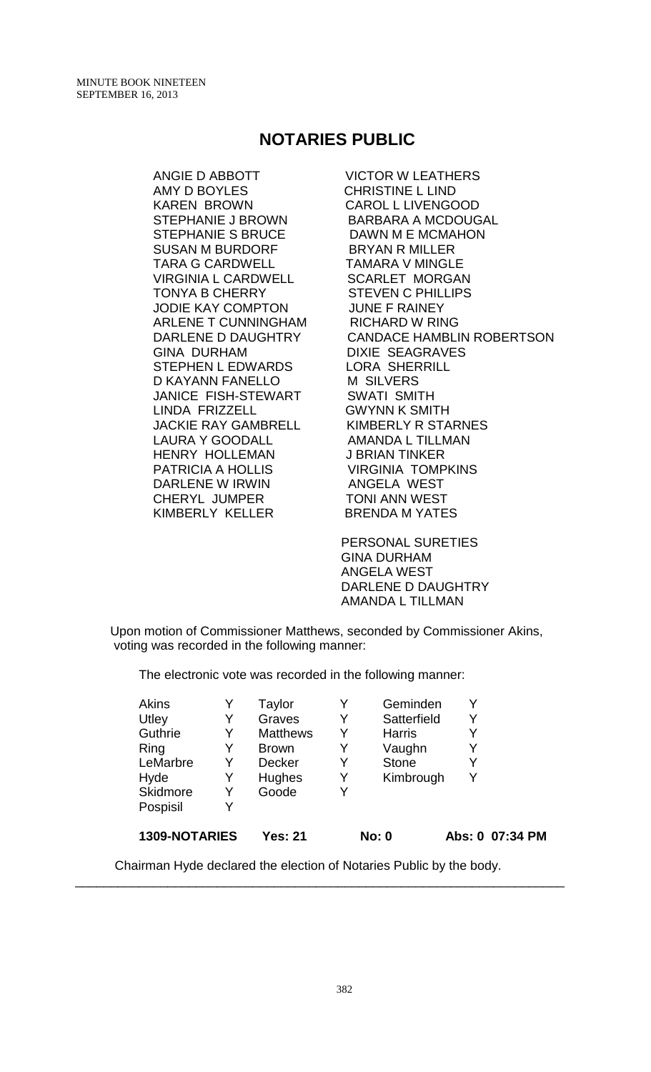# **NOTARIES PUBLIC**

ANGIE D ABBOTT VICTOR W LEATHERS AMY D BOYLES CHRISTINE L LIND KAREN BROWN CAROL L LIVENGOOD STEPHANIE J BROWN BARBARA A MCDOUGAL STEPHANIE S BRUCE DAWN M E MCMAHON SUSAN M BURDORF BRYAN R MILLER TARA G CARDWELL TAMARA V MINGLE VIRGINIA L CARDWELL SCARLET MORGAN TONYA B CHERRY STEVEN C PHILLIPS JODIE KAY COMPTON JUNE F RAINEY ARLENE T CUNNINGHAM RICHARD W RING GINA DURHAM DIXIE SEAGRAVES STEPHEN L EDWARDS LORA SHERRILL D KAYANN FANELLO M SILVERS JANICE FISH-STEWART SWATI SMITH LINDA FRIZZELL GWYNN K SMITH JACKIE RAY GAMBRELL KIMBERLY R STARNES LAURA Y GOODALL AMANDA L TILLMAN HENRY HOLLEMAN J BRIAN TINKER PATRICIA A HOLLIS VIRGINIA TOMPKINS DARLENE W IRWIN ANGELA WEST CHERYL JUMPER TONI ANN WEST KIMBERLY KELLER BRENDA M YATES

DARLENE D DAUGHTRY CANDACE HAMBLIN ROBERTSON

 PERSONAL SURETIES GINA DURHAM ANGELA WEST DARLENE D DAUGHTRY AMANDA L TILLMAN

Upon motion of Commissioner Matthews, seconded by Commissioner Akins, voting was recorded in the following manner:

The electronic vote was recorded in the following manner:

| <b>Akins</b>    |   | Taylor          |   | Geminden      |   |                 |
|-----------------|---|-----------------|---|---------------|---|-----------------|
| Utley           | Y | Graves          | Y | Satterfield   | Y |                 |
| <b>Guthrie</b>  | Y | <b>Matthews</b> |   | <b>Harris</b> |   |                 |
| Ring            | Y | <b>Brown</b>    | Y | Vaughn        |   |                 |
| LeMarbre        | Y | <b>Decker</b>   | Y | <b>Stone</b>  | Y |                 |
| Hyde            | Y | <b>Hughes</b>   | Y | Kimbrough     |   |                 |
| <b>Skidmore</b> | Y | Goode           | Y |               |   |                 |
| Pospisil        | Y |                 |   |               |   |                 |
| 1309-NOTARIES   |   | <b>Yes: 21</b>  |   | <b>No: 0</b>  |   | Abs: 0 07:34 PM |

Chairman Hyde declared the election of Notaries Public by the body.

\_\_\_\_\_\_\_\_\_\_\_\_\_\_\_\_\_\_\_\_\_\_\_\_\_\_\_\_\_\_\_\_\_\_\_\_\_\_\_\_\_\_\_\_\_\_\_\_\_\_\_\_\_\_\_\_\_\_\_\_\_\_\_\_\_\_\_\_\_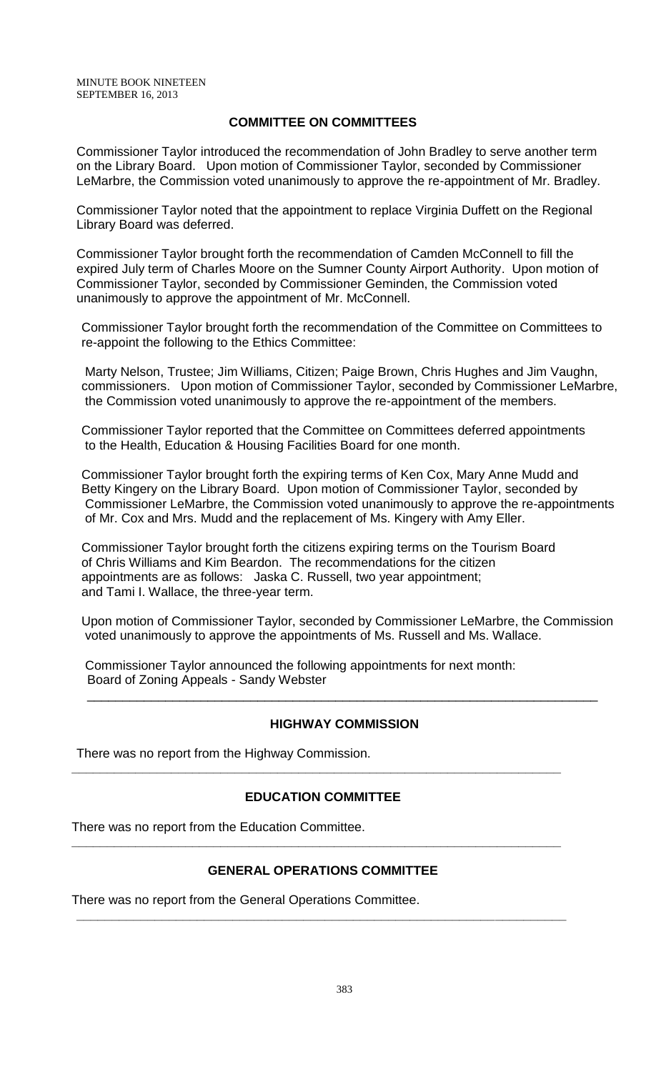### **COMMITTEE ON COMMITTEES**

Commissioner Taylor introduced the recommendation of John Bradley to serve another term on the Library Board. Upon motion of Commissioner Taylor, seconded by Commissioner LeMarbre, the Commission voted unanimously to approve the re-appointment of Mr. Bradley.

Commissioner Taylor noted that the appointment to replace Virginia Duffett on the Regional Library Board was deferred.

Commissioner Taylor brought forth the recommendation of Camden McConnell to fill the expired July term of Charles Moore on the Sumner County Airport Authority. Upon motion of Commissioner Taylor, seconded by Commissioner Geminden, the Commission voted unanimously to approve the appointment of Mr. McConnell.

Commissioner Taylor brought forth the recommendation of the Committee on Committees to re-appoint the following to the Ethics Committee:

Marty Nelson, Trustee; Jim Williams, Citizen; Paige Brown, Chris Hughes and Jim Vaughn, commissioners. Upon motion of Commissioner Taylor, seconded by Commissioner LeMarbre, the Commission voted unanimously to approve the re-appointment of the members.

Commissioner Taylor reported that the Committee on Committees deferred appointments to the Health, Education & Housing Facilities Board for one month.

Commissioner Taylor brought forth the expiring terms of Ken Cox, Mary Anne Mudd and Betty Kingery on the Library Board. Upon motion of Commissioner Taylor, seconded by Commissioner LeMarbre, the Commission voted unanimously to approve the re-appointments of Mr. Cox and Mrs. Mudd and the replacement of Ms. Kingery with Amy Eller.

Commissioner Taylor brought forth the citizens expiring terms on the Tourism Board of Chris Williams and Kim Beardon. The recommendations for the citizen appointments are as follows: Jaska C. Russell, two year appointment; and Tami I. Wallace, the three-year term.

Upon motion of Commissioner Taylor, seconded by Commissioner LeMarbre, the Commission voted unanimously to approve the appointments of Ms. Russell and Ms. Wallace.

Commissioner Taylor announced the following appointments for next month: Board of Zoning Appeals - Sandy Webster

#### **HIGHWAY COMMISSION**

\_\_\_\_\_\_\_\_\_\_\_\_\_\_\_\_\_\_\_\_\_\_\_\_\_\_\_\_\_\_\_\_\_\_\_\_\_\_\_\_\_\_\_\_\_\_\_\_\_\_\_\_\_\_\_\_\_\_\_\_\_\_\_\_\_\_\_\_\_\_\_\_

There was no report from the Highway Commission.

#### **EDUCATION COMMITTEE**

**\_\_\_\_\_\_\_\_\_\_\_\_\_\_\_\_\_\_\_\_\_\_\_\_\_\_\_\_\_\_\_\_\_\_\_\_\_\_\_\_\_\_\_\_\_\_\_\_\_\_\_\_\_\_\_\_\_\_\_\_\_\_\_\_\_\_\_\_\_**

There was no report from the Education Committee.

#### **GENERAL OPERATIONS COMMITTEE**

**\_\_\_\_\_\_\_\_\_\_\_\_\_\_\_\_\_\_\_\_\_\_\_\_\_\_\_\_\_\_\_\_\_\_\_\_\_\_\_\_\_\_\_\_\_\_\_\_\_\_\_\_\_\_\_\_\_\_\_\_\_\_\_\_\_\_\_\_\_**

**\_\_\_\_\_\_\_\_\_\_\_\_\_\_\_\_\_\_\_\_\_\_\_\_\_\_\_\_\_\_\_\_\_\_\_\_\_\_\_\_\_\_\_\_\_\_\_\_\_\_\_\_\_\_\_\_\_\_\_\_\_\_\_\_\_\_\_\_\_**

There was no report from the General Operations Committee.